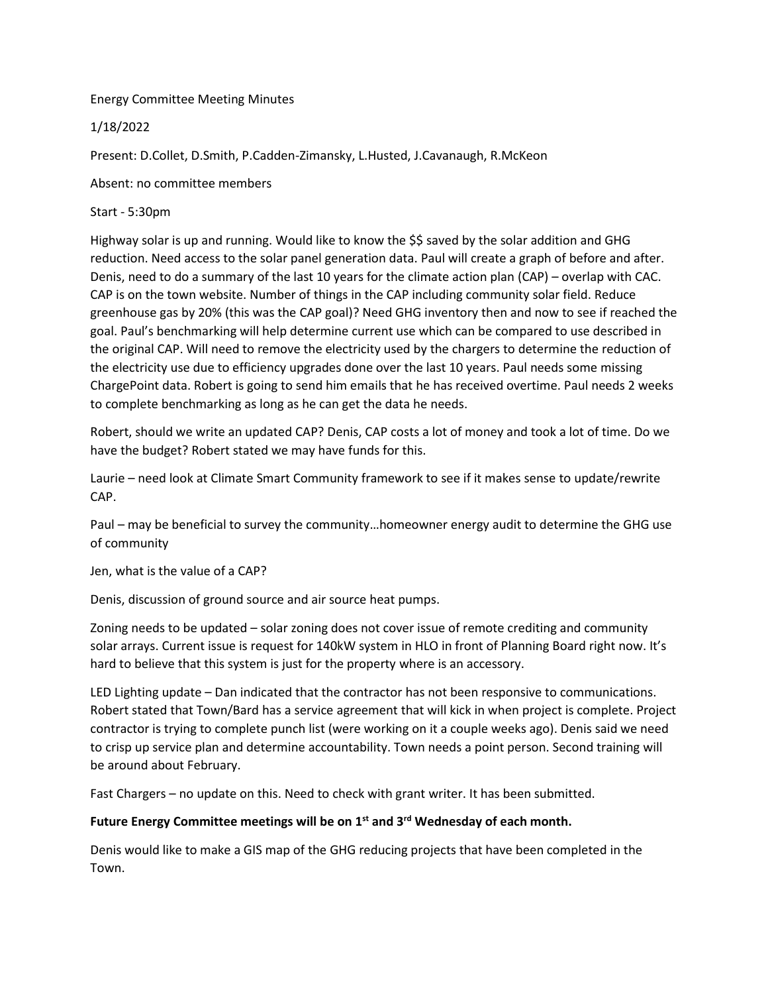Energy Committee Meeting Minutes

## 1/18/2022

Present: D.Collet, D.Smith, P.Cadden-Zimansky, L.Husted, J.Cavanaugh, R.McKeon

Absent: no committee members

## Start - 5:30pm

Highway solar is up and running. Would like to know the \$\$ saved by the solar addition and GHG reduction. Need access to the solar panel generation data. Paul will create a graph of before and after. Denis, need to do a summary of the last 10 years for the climate action plan (CAP) – overlap with CAC. CAP is on the town website. Number of things in the CAP including community solar field. Reduce greenhouse gas by 20% (this was the CAP goal)? Need GHG inventory then and now to see if reached the goal. Paul's benchmarking will help determine current use which can be compared to use described in the original CAP. Will need to remove the electricity used by the chargers to determine the reduction of the electricity use due to efficiency upgrades done over the last 10 years. Paul needs some missing ChargePoint data. Robert is going to send him emails that he has received overtime. Paul needs 2 weeks to complete benchmarking as long as he can get the data he needs.

Robert, should we write an updated CAP? Denis, CAP costs a lot of money and took a lot of time. Do we have the budget? Robert stated we may have funds for this.

Laurie – need look at Climate Smart Community framework to see if it makes sense to update/rewrite CAP.

Paul – may be beneficial to survey the community…homeowner energy audit to determine the GHG use of community

Jen, what is the value of a CAP?

Denis, discussion of ground source and air source heat pumps.

Zoning needs to be updated – solar zoning does not cover issue of remote crediting and community solar arrays. Current issue is request for 140kW system in HLO in front of Planning Board right now. It's hard to believe that this system is just for the property where is an accessory.

LED Lighting update – Dan indicated that the contractor has not been responsive to communications. Robert stated that Town/Bard has a service agreement that will kick in when project is complete. Project contractor is trying to complete punch list (were working on it a couple weeks ago). Denis said we need to crisp up service plan and determine accountability. Town needs a point person. Second training will be around about February.

Fast Chargers – no update on this. Need to check with grant writer. It has been submitted.

## Future Energy Committee meetings will be on 1<sup>st</sup> and 3<sup>rd</sup> Wednesday of each month.

Denis would like to make a GIS map of the GHG reducing projects that have been completed in the Town.